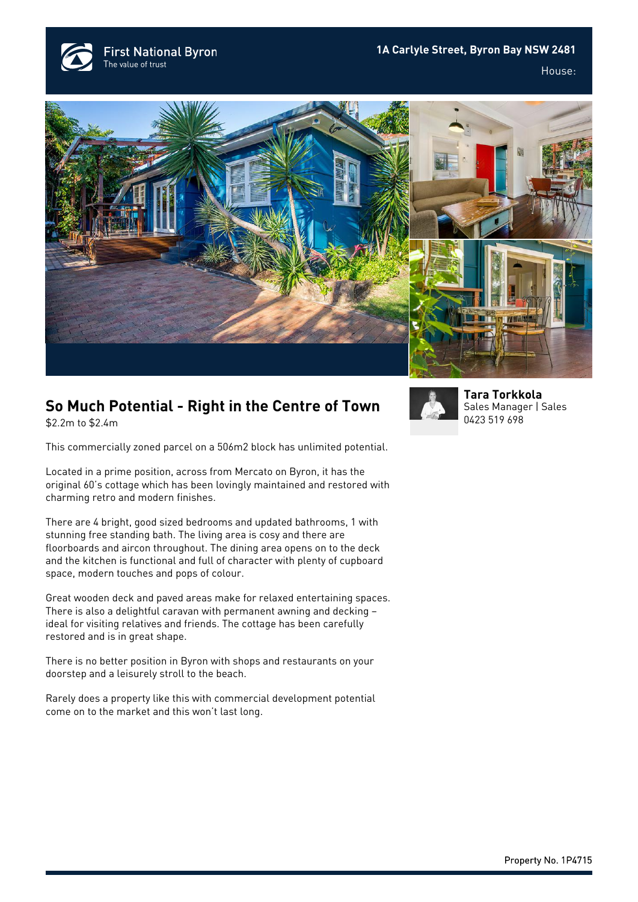**1A Carlyle Street, Byron Bay NSW 2481**



**First National Byron** 

The value of trust

House:





## **So Much Potential - Right in the Centre of Town**

\$2.2m to \$2.4m

This commercially zoned parcel on a 506m2 block has unlimited potential.

Located in a prime position, across from Mercato on Byron, it has the original 60's cottage which has been lovingly maintained and restored with charming retro and modern finishes.

There are 4 bright, good sized bedrooms and updated bathrooms, 1 with stunning free standing bath. The living area is cosy and there are floorboards and aircon throughout. The dining area opens on to the deck and the kitchen is functional and full of character with plenty of cupboard space, modern touches and pops of colour.

Great wooden deck and paved areas make for relaxed entertaining spaces. There is also a delightful caravan with permanent awning and decking – ideal for visiting relatives and friends. The cottage has been carefully restored and is in great shape.

There is no better position in Byron with shops and restaurants on your doorstep and a leisurely stroll to the beach.

Rarely does a property like this with commercial development potential come on to the market and this won't last long.



**[Tara Torkkola](https://www.byronbayfn.com.au/agents/tara-torkkola/)** Sales Manager | Sales [0423 519 698](#page--1-0)